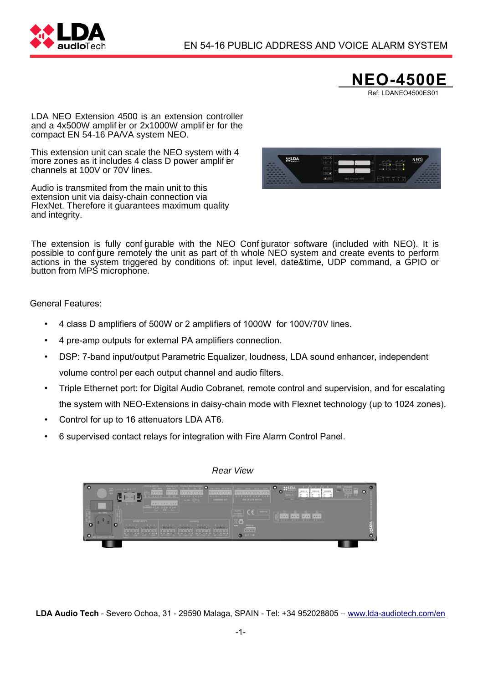



LDA NEO Extension 4500 is an extension controller and a  $4x500W$  amplif  $er$  or  $2x1000W$  amplif  $er$  for the compact EN 54-16 PA/VA system NEO.

. This extension unit can scale the NEO system with 4 more zones as it includes 4 class D power amplif er channels at 100V or 70V lines.

Audio is transmited from the main unit to this extension unit via daisy-chain connection via FlexNet. Therefore it guarantees maximum quality and integrity.



The extension is fully configurable with the NEO Configurator software (included with NEO). It is possible to configure remotely the unit as part of th whole NEO system and create events to perform actions in the system triggered by conditions of: input level, date&time, UDP command, a GPIO or button from MPS microphone.

General Features:

- 4 class D amplifiers of 500W or 2 amplifiers of 1000W for 100V/70V lines.
- 4 pre-amp outputs for external PA amplifiers connection.
- DSP: 7-band input/output Parametric Equalizer, loudness, LDA sound enhancer, independent volume control per each output channel and audio filters.
- Triple Ethernet port: for Digital Audio Cobranet, remote control and supervision, and for escalating the system with NEO-Extensions in daisy-chain mode with Flexnet technology (up to 1024 zones).
- Control for up to 16 attenuators LDA AT6.
- 6 supervised contact relays for integration with Fire Alarm Control Panel.



**LDA Audio Tech** - Severo Ochoa, 31 - 29590 Malaga, SPAIN - Tel: +34 952028805 – [www.lda-audiotech.com/en](http://www.lda-audiotech.com/en)